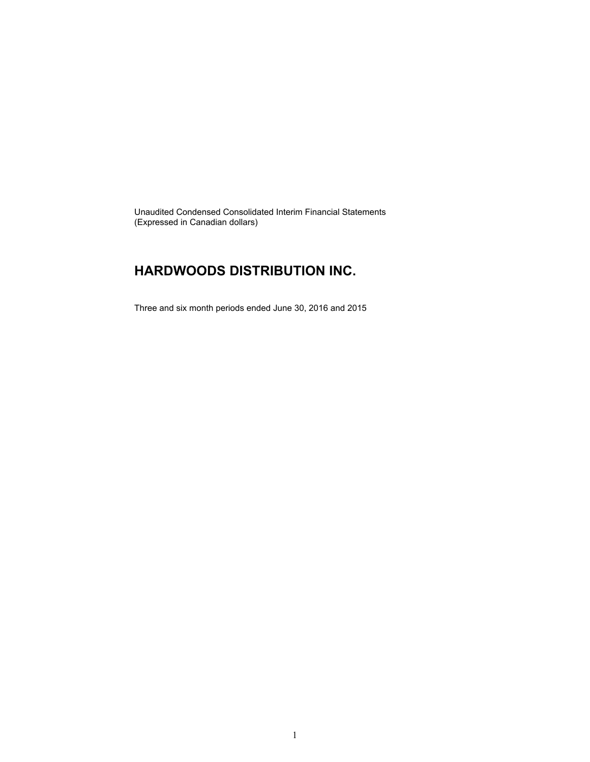Unaudited Condensed Consolidated Interim Financial Statements (Expressed in Canadian dollars)

### **HARDWOODS DISTRIBUTION INC.**

Three and six month periods ended June 30, 2016 and 2015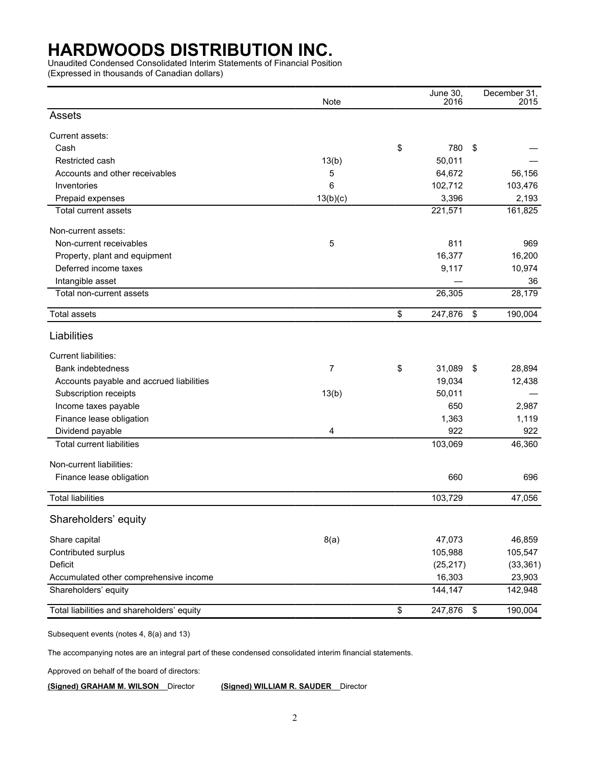Unaudited Condensed Consolidated Interim Statements of Financial Position

(Expressed in thousands of Canadian dollars)

|                                            | Note     | June 30,<br>2016 |                           | December 31,<br>2015 |
|--------------------------------------------|----------|------------------|---------------------------|----------------------|
| Assets                                     |          |                  |                           |                      |
| Current assets:                            |          |                  |                           |                      |
| Cash                                       |          | \$<br>780        | \$                        |                      |
| Restricted cash                            | 13(b)    | 50,011           |                           |                      |
| Accounts and other receivables             | 5        | 64,672           |                           | 56,156               |
| Inventories                                | 6        | 102,712          |                           | 103,476              |
| Prepaid expenses                           | 13(b)(c) | 3,396            |                           | 2,193                |
| Total current assets                       |          | 221,571          |                           | 161,825              |
| Non-current assets:                        |          |                  |                           |                      |
| Non-current receivables                    | 5        | 811              |                           | 969                  |
| Property, plant and equipment              |          | 16,377           |                           | 16,200               |
| Deferred income taxes                      |          | 9,117            |                           | 10,974               |
| Intangible asset                           |          |                  |                           | 36                   |
| Total non-current assets                   |          | 26,305           |                           | 28,179               |
| <b>Total assets</b>                        |          | \$<br>247,876    | \$                        | 190,004              |
| Liabilities                                |          |                  |                           |                      |
| <b>Current liabilities:</b>                |          |                  |                           |                      |
| Bank indebtedness                          | 7        | \$<br>31,089     | \$                        | 28,894               |
| Accounts payable and accrued liabilities   |          | 19,034           |                           | 12,438               |
| Subscription receipts                      | 13(b)    | 50,011           |                           |                      |
| Income taxes payable                       |          | 650              |                           | 2,987                |
| Finance lease obligation                   |          | 1,363            |                           | 1,119                |
| Dividend payable                           | 4        | 922              |                           | 922                  |
| <b>Total current liabilities</b>           |          | 103,069          |                           | 46,360               |
| Non-current liabilities:                   |          |                  |                           |                      |
| Finance lease obligation                   |          | 660              |                           | 696                  |
| <b>Total liabilities</b>                   |          | 103,729          |                           | 47,056               |
| Shareholders' equity                       |          |                  |                           |                      |
| Share capital                              | 8(a)     | 47,073           |                           | 46,859               |
| Contributed surplus                        |          | 105,988          |                           | 105,547              |
| Deficit                                    |          | (25, 217)        |                           | (33, 361)            |
| Accumulated other comprehensive income     |          | 16,303           |                           | 23,903               |
| Shareholders' equity                       |          | 144,147          |                           | 142,948              |
| Total liabilities and shareholders' equity |          | \$<br>247,876    | $\boldsymbol{\mathsf{S}}$ | 190,004              |

Subsequent events (notes 4, 8(a) and 13)

The accompanying notes are an integral part of these condensed consolidated interim financial statements.

Approved on behalf of the board of directors:

**(Signed) GRAHAM M. WILSON** Director **(Signed) WILLIAM R. SAUDER** Director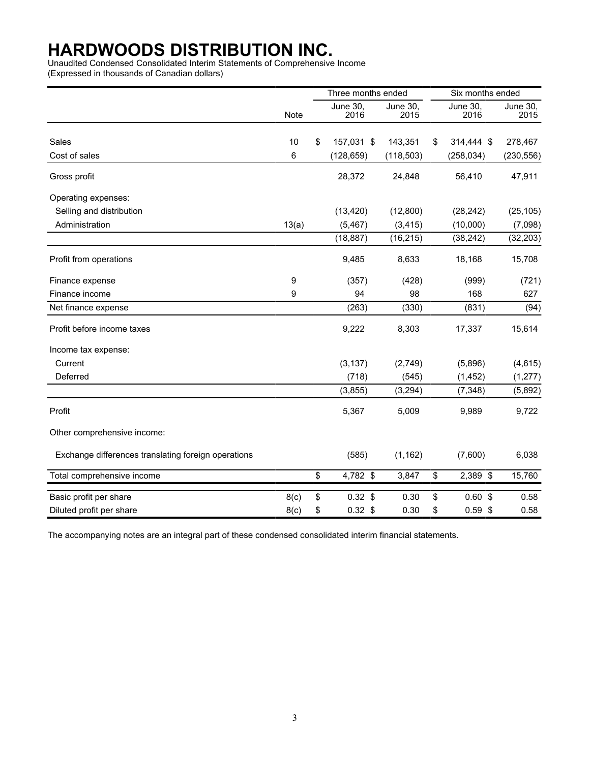Unaudited Condensed Consolidated Interim Statements of Comprehensive Income

(Expressed in thousands of Canadian dollars)

|                                                     |       | Three months ended      |                  | Six months ended |                  |
|-----------------------------------------------------|-------|-------------------------|------------------|------------------|------------------|
|                                                     | Note  | <b>June 30,</b><br>2016 | June 30,<br>2015 | June 30,<br>2016 | June 30,<br>2015 |
|                                                     |       |                         |                  |                  |                  |
| Sales                                               | 10    | \$<br>157,031 \$        | 143,351          | \$<br>314,444 \$ | 278,467          |
| Cost of sales                                       | 6     | (128, 659)              | (118, 503)       | (258, 034)       | (230, 556)       |
| Gross profit                                        |       | 28,372                  | 24,848           | 56,410           | 47,911           |
| Operating expenses:                                 |       |                         |                  |                  |                  |
| Selling and distribution                            |       | (13, 420)               | (12,800)         | (28, 242)        | (25, 105)        |
| Administration                                      | 13(a) | (5, 467)                | (3, 415)         | (10,000)         | (7,098)          |
|                                                     |       | (18, 887)               | (16, 215)        | (38, 242)        | (32, 203)        |
| Profit from operations                              |       | 9,485                   | 8,633            | 18,168           | 15,708           |
| Finance expense                                     | 9     | (357)                   | (428)            | (999)            | (721)            |
| Finance income                                      | 9     | 94                      | 98               | 168              | 627              |
| Net finance expense                                 |       | (263)                   | (330)            | (831)            | (94)             |
| Profit before income taxes                          |       | 9,222                   | 8,303            | 17,337           | 15,614           |
| Income tax expense:                                 |       |                         |                  |                  |                  |
| Current                                             |       | (3, 137)                | (2,749)          | (5,896)          | (4,615)          |
| Deferred                                            |       | (718)                   | (545)            | (1, 452)         | (1, 277)         |
|                                                     |       | (3, 855)                | (3,294)          | (7, 348)         | (5,892)          |
| Profit                                              |       | 5,367                   | 5,009            | 9,989            | 9,722            |
| Other comprehensive income:                         |       |                         |                  |                  |                  |
| Exchange differences translating foreign operations |       | (585)                   | (1, 162)         | (7,600)          | 6,038            |
| Total comprehensive income                          |       | \$<br>4,782 \$          | 3,847            | \$<br>2,389 \$   | 15,760           |
| Basic profit per share                              | 8(c)  | \$<br>$0.32$ \$         | 0.30             | \$<br>$0.60$ \$  | 0.58             |
| Diluted profit per share                            | 8(c)  | \$<br>$0.32$ \$         | 0.30             | \$<br>$0.59$ \$  | 0.58             |

The accompanying notes are an integral part of these condensed consolidated interim financial statements.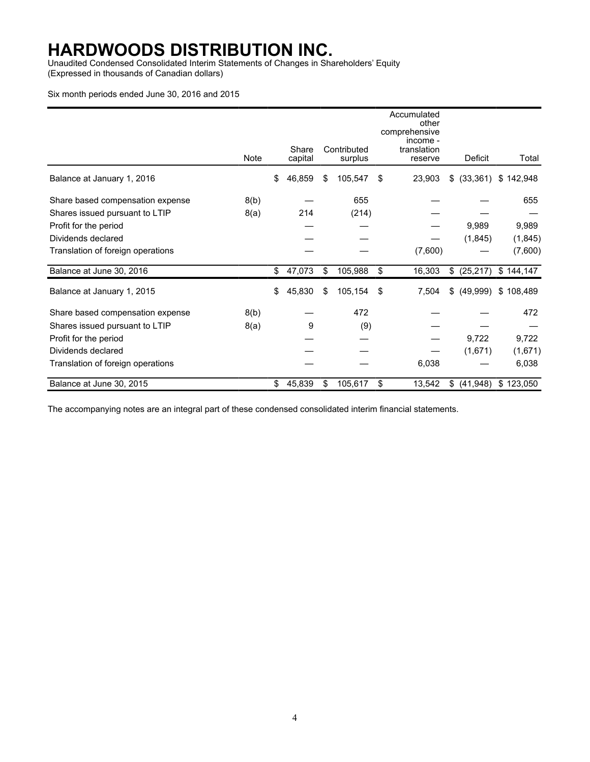Unaudited Condensed Consolidated Interim Statements of Changes in Shareholders' Equity (Expressed in thousands of Canadian dollars)

#### Six month periods ended June 30, 2016 and 2015

|                                   | Note | Share<br>capital |    | Contributed<br>surplus | Accumulated<br>other<br>comprehensive<br>income -<br>translation<br>reserve | Deficit         | Total     |
|-----------------------------------|------|------------------|----|------------------------|-----------------------------------------------------------------------------|-----------------|-----------|
|                                   |      |                  |    |                        |                                                                             |                 |           |
| Balance at January 1, 2016        |      | \$<br>46,859     | \$ | 105,547                | \$<br>23,903                                                                | $$^{(33,361)}$$ | \$142,948 |
| Share based compensation expense  | 8(b) |                  |    | 655                    |                                                                             |                 | 655       |
| Shares issued pursuant to LTIP    | 8(a) | 214              |    | (214)                  |                                                                             |                 |           |
| Profit for the period             |      |                  |    |                        |                                                                             | 9,989           | 9,989     |
| Dividends declared                |      |                  |    |                        |                                                                             | (1,845)         | (1, 845)  |
| Translation of foreign operations |      |                  |    |                        | (7,600)                                                                     |                 | (7,600)   |
| Balance at June 30, 2016          |      | \$<br>47,073     | \$ | 105,988                | \$<br>16,303                                                                | \$ (25,217)     | \$144,147 |
| Balance at January 1, 2015        |      | \$<br>45,830     | S  | 105,154                | \$<br>7,504                                                                 | \$<br>(49,999)  | \$108,489 |
| Share based compensation expense  | 8(b) |                  |    | 472                    |                                                                             |                 | 472       |
| Shares issued pursuant to LTIP    | 8(a) | 9                |    | (9)                    |                                                                             |                 |           |
| Profit for the period             |      |                  |    |                        |                                                                             | 9,722           | 9,722     |
| Dividends declared                |      |                  |    |                        |                                                                             | (1,671)         | (1,671)   |
| Translation of foreign operations |      |                  |    |                        | 6,038                                                                       |                 | 6,038     |
| Balance at June 30, 2015          |      | \$<br>45,839     | \$ | 105,617                | \$<br>13,542                                                                | \$<br>(41, 948) | \$123,050 |

The accompanying notes are an integral part of these condensed consolidated interim financial statements.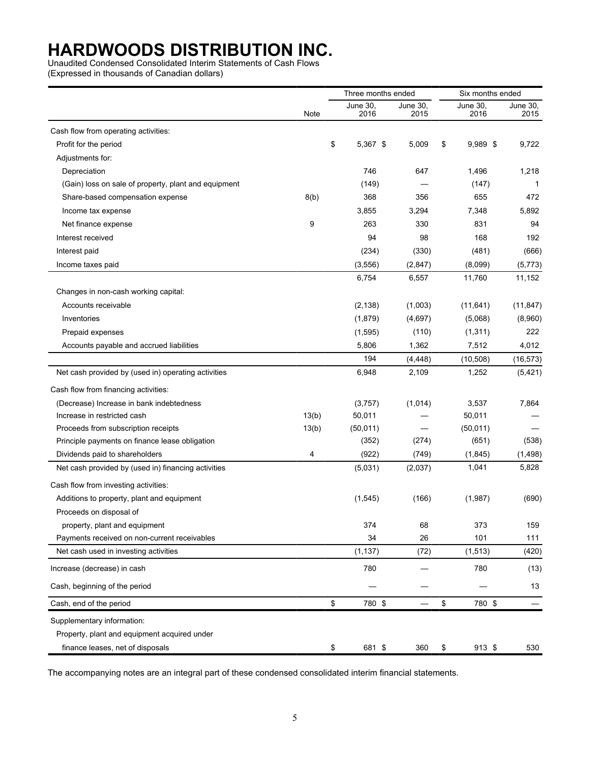Unaudited Condensed Consolidated Interim Statements of Cash Flows

(Expressed in thousands of Canadian dollars)

|                                                      |       | Three months ended |                  | Six months ended |                  |                  |
|------------------------------------------------------|-------|--------------------|------------------|------------------|------------------|------------------|
|                                                      | Note  | June 30,<br>2016   | June 30,<br>2015 |                  | June 30,<br>2016 | June 30,<br>2015 |
| Cash flow from operating activities:                 |       |                    |                  |                  |                  |                  |
| Profit for the period                                |       | \$<br>$5,367$ \$   | 5,009            | \$               | 9,989 \$         | 9,722            |
| Adjustments for:                                     |       |                    |                  |                  |                  |                  |
| Depreciation                                         |       | 746                | 647              |                  | 1,496            | 1,218            |
| (Gain) loss on sale of property, plant and equipment |       | (149)              |                  |                  | (147)            | $\mathbf{1}$     |
| Share-based compensation expense                     | 8(b)  | 368                | 356              |                  | 655              | 472              |
| Income tax expense                                   |       | 3,855              | 3,294            |                  | 7,348            | 5,892            |
| Net finance expense                                  | 9     | 263                | 330              |                  | 831              | 94               |
| Interest received                                    |       | 94                 | 98               |                  | 168              | 192              |
| Interest paid                                        |       | (234)              | (330)            |                  | (481)            | (666)            |
| Income taxes paid                                    |       | (3, 556)           | (2, 847)         |                  | (8,099)          | (5,773)          |
|                                                      |       | 6,754              | 6,557            |                  | 11,760           | 11,152           |
| Changes in non-cash working capital:                 |       |                    |                  |                  |                  |                  |
| Accounts receivable                                  |       | (2, 138)           | (1,003)          |                  | (11, 641)        | (11, 847)        |
| Inventories                                          |       | (1,879)            | (4,697)          |                  | (5,068)          | (8,960)          |
| Prepaid expenses                                     |       | (1, 595)           | (110)            |                  | (1, 311)         | 222              |
| Accounts payable and accrued liabilities             |       | 5,806              | 1,362            |                  | 7,512            | 4,012            |
|                                                      |       | 194                | (4, 448)         |                  | (10, 508)        | (16, 573)        |
| Net cash provided by (used in) operating activities  |       | 6,948              | 2,109            |                  | 1,252            | (5, 421)         |
| Cash flow from financing activities:                 |       |                    |                  |                  |                  |                  |
| (Decrease) Increase in bank indebtedness             |       | (3,757)            | (1,014)          |                  | 3,537            | 7,864            |
| Increase in restricted cash                          | 13(b) | 50,011             |                  |                  | 50,011           |                  |
| Proceeds from subscription receipts                  | 13(b) | (50, 011)          |                  |                  | (50, 011)        |                  |
| Principle payments on finance lease obligation       |       | (352)              | (274)            |                  | (651)            | (538)            |
| Dividends paid to shareholders                       | 4     | (922)              | (749)            |                  | (1, 845)         | (1, 498)         |
| Net cash provided by (used in) financing activities  |       | (5,031)            | (2,037)          |                  | 1,041            | 5,828            |
| Cash flow from investing activities:                 |       |                    |                  |                  |                  |                  |
| Additions to property, plant and equipment           |       | (1,545)            | (166)            |                  | (1,987)          | (690)            |
| Proceeds on disposal of                              |       |                    |                  |                  |                  |                  |
| property, plant and equipment                        |       | 374                | 68               |                  | 373              | 159              |
| Payments received on non-current receivables         |       | 34                 | 26               |                  | 101              | 111              |
| Net cash used in investing activities                |       | (1, 137)           | (72)             |                  | (1, 513)         | (420)            |
| Increase (decrease) in cash                          |       | 780                |                  |                  | 780              | (13)             |
| Cash, beginning of the period                        |       |                    |                  |                  |                  | 13               |
| Cash, end of the period                              |       | \$<br>780 \$       |                  | \$               | 780 \$           |                  |
| Supplementary information:                           |       |                    |                  |                  |                  |                  |
| Property, plant and equipment acquired under         |       |                    |                  |                  |                  |                  |
| finance leases, net of disposals                     |       | \$<br>681 \$       | 360              | \$               | 913 \$           | 530              |

The accompanying notes are an integral part of these condensed consolidated interim financial statements.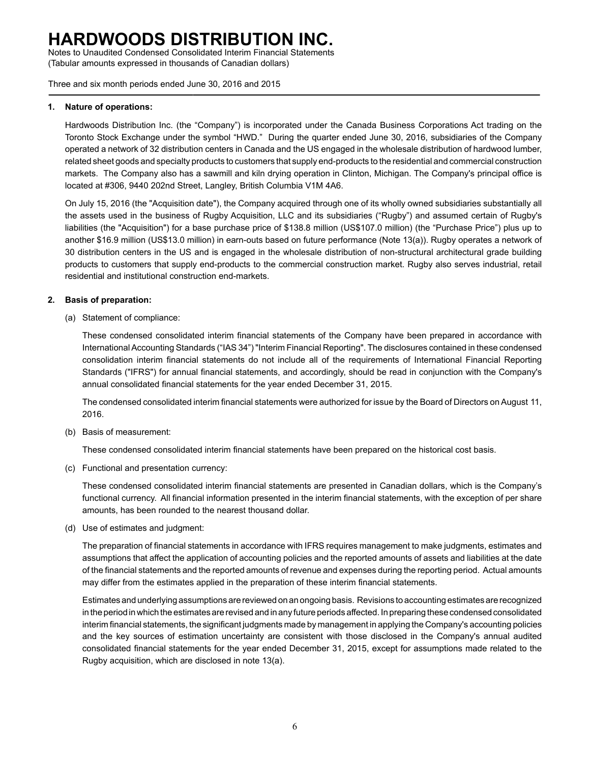Notes to Unaudited Condensed Consolidated Interim Financial Statements (Tabular amounts expressed in thousands of Canadian dollars)

Three and six month periods ended June 30, 2016 and 2015

#### **1. Nature of operations:**

Hardwoods Distribution Inc. (the "Company") is incorporated under the Canada Business Corporations Act trading on the Toronto Stock Exchange under the symbol "HWD." During the quarter ended June 30, 2016, subsidiaries of the Company operated a network of 32 distribution centers in Canada and the US engaged in the wholesale distribution of hardwood lumber, related sheet goods and specialty products to customers that supply end-products to the residential and commercial construction markets. The Company also has a sawmill and kiln drying operation in Clinton, Michigan. The Company's principal office is located at #306, 9440 202nd Street, Langley, British Columbia V1M 4A6.

On July 15, 2016 (the "Acquisition date"), the Company acquired through one of its wholly owned subsidiaries substantially all the assets used in the business of Rugby Acquisition, LLC and its subsidiaries ("Rugby") and assumed certain of Rugby's liabilities (the "Acquisition") for a base purchase price of \$138.8 million (US\$107.0 million) (the "Purchase Price") plus up to another \$16.9 million (US\$13.0 million) in earn-outs based on future performance (Note 13(a)). Rugby operates a network of 30 distribution centers in the US and is engaged in the wholesale distribution of non-structural architectural grade building products to customers that supply end-products to the commercial construction market. Rugby also serves industrial, retail residential and institutional construction end-markets.

### **2. Basis of preparation:**

(a) Statement of compliance:

These condensed consolidated interim financial statements of the Company have been prepared in accordance with International Accounting Standards ("IAS 34") "Interim Financial Reporting". The disclosures contained in these condensed consolidation interim financial statements do not include all of the requirements of International Financial Reporting Standards ("IFRS") for annual financial statements, and accordingly, should be read in conjunction with the Company's annual consolidated financial statements for the year ended December 31, 2015.

The condensed consolidated interim financial statements were authorized for issue by the Board of Directors on August 11, 2016.

(b) Basis of measurement:

These condensed consolidated interim financial statements have been prepared on the historical cost basis.

(c) Functional and presentation currency:

These condensed consolidated interim financial statements are presented in Canadian dollars, which is the Company's functional currency. All financial information presented in the interim financial statements, with the exception of per share amounts, has been rounded to the nearest thousand dollar.

(d) Use of estimates and judgment:

The preparation of financial statements in accordance with IFRS requires management to make judgments, estimates and assumptions that affect the application of accounting policies and the reported amounts of assets and liabilities at the date of the financial statements and the reported amounts of revenue and expenses during the reporting period. Actual amounts may differ from the estimates applied in the preparation of these interim financial statements.

Estimates and underlying assumptions are reviewed on an ongoing basis. Revisions to accounting estimates are recognized in the period in which the estimates are revised and in any future periods affected. In preparing these condensed consolidated interim financial statements, the significant judgments made by management in applying the Company's accounting policies and the key sources of estimation uncertainty are consistent with those disclosed in the Company's annual audited consolidated financial statements for the year ended December 31, 2015, except for assumptions made related to the Rugby acquisition, which are disclosed in note 13(a).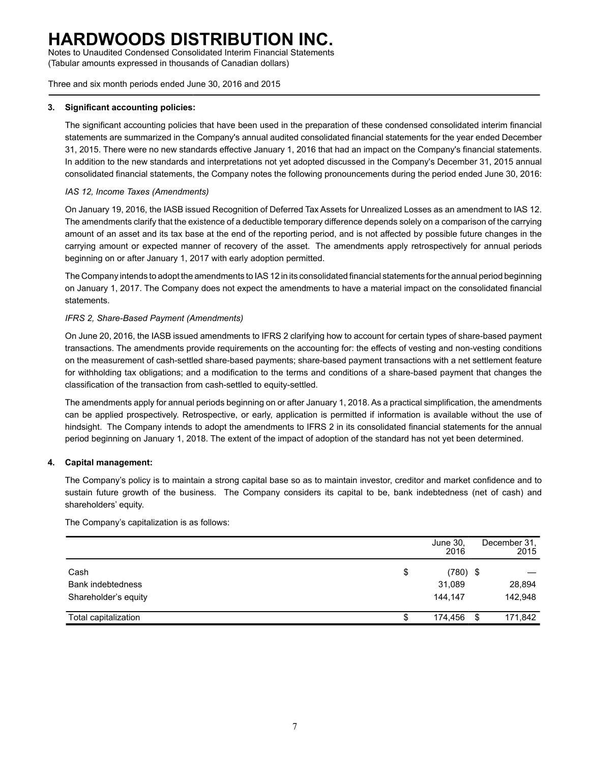Notes to Unaudited Condensed Consolidated Interim Financial Statements (Tabular amounts expressed in thousands of Canadian dollars)

Three and six month periods ended June 30, 2016 and 2015

### **3. Significant accounting policies:**

The significant accounting policies that have been used in the preparation of these condensed consolidated interim financial statements are summarized in the Company's annual audited consolidated financial statements for the year ended December 31, 2015. There were no new standards effective January 1, 2016 that had an impact on the Company's financial statements. In addition to the new standards and interpretations not yet adopted discussed in the Company's December 31, 2015 annual consolidated financial statements, the Company notes the following pronouncements during the period ended June 30, 2016:

### *IAS 12, Income Taxes (Amendments)*

On January 19, 2016, the IASB issued Recognition of Deferred Tax Assets for Unrealized Losses as an amendment to IAS 12. The amendments clarify that the existence of a deductible temporary difference depends solely on a comparison of the carrying amount of an asset and its tax base at the end of the reporting period, and is not affected by possible future changes in the carrying amount or expected manner of recovery of the asset. The amendments apply retrospectively for annual periods beginning on or after January 1, 2017 with early adoption permitted.

The Company intends to adopt the amendments to IAS 12 in its consolidated financial statements for the annual period beginning on January 1, 2017. The Company does not expect the amendments to have a material impact on the consolidated financial statements.

### *IFRS 2, Share-Based Payment (Amendments)*

On June 20, 2016, the IASB issued amendments to IFRS 2 clarifying how to account for certain types of share-based payment transactions. The amendments provide requirements on the accounting for: the effects of vesting and non-vesting conditions on the measurement of cash-settled share-based payments; share-based payment transactions with a net settlement feature for withholding tax obligations; and a modification to the terms and conditions of a share-based payment that changes the classification of the transaction from cash-settled to equity-settled.

The amendments apply for annual periods beginning on or after January 1, 2018. As a practical simplification, the amendments can be applied prospectively. Retrospective, or early, application is permitted if information is available without the use of hindsight. The Company intends to adopt the amendments to IFRS 2 in its consolidated financial statements for the annual period beginning on January 1, 2018. The extent of the impact of adoption of the standard has not yet been determined.

### **4. Capital management:**

The Company's policy is to maintain a strong capital base so as to maintain investor, creditor and market confidence and to sustain future growth of the business. The Company considers its capital to be, bank indebtedness (net of cash) and shareholders' equity.

The Company's capitalization is as follows:

|                          |    | June 30,<br>2016 |     | December 31.<br>2015 |
|--------------------------|----|------------------|-----|----------------------|
| Cash                     | \$ | $(780)$ \$       |     |                      |
| <b>Bank indebtedness</b> |    | 31,089           |     | 28,894               |
| Shareholder's equity     |    | 144.147          |     | 142,948              |
| Total capitalization     | S  | 174,456          | \$. | 171,842              |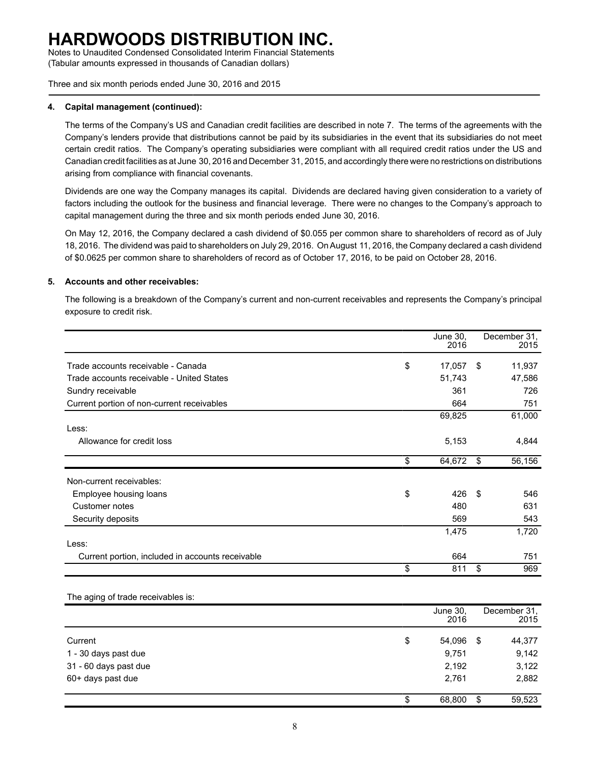Notes to Unaudited Condensed Consolidated Interim Financial Statements (Tabular amounts expressed in thousands of Canadian dollars)

Three and six month periods ended June 30, 2016 and 2015

#### **4. Capital management (continued):**

The terms of the Company's US and Canadian credit facilities are described in note 7. The terms of the agreements with the Company's lenders provide that distributions cannot be paid by its subsidiaries in the event that its subsidiaries do not meet certain credit ratios. The Company's operating subsidiaries were compliant with all required credit ratios under the US and Canadian credit facilities as at June 30, 2016 and December 31, 2015, and accordingly there were no restrictions on distributions arising from compliance with financial covenants.

Dividends are one way the Company manages its capital. Dividends are declared having given consideration to a variety of factors including the outlook for the business and financial leverage. There were no changes to the Company's approach to capital management during the three and six month periods ended June 30, 2016.

On May 12, 2016, the Company declared a cash dividend of \$0.055 per common share to shareholders of record as of July 18, 2016. The dividend was paid to shareholders on July 29, 2016. On August 11, 2016, the Company declared a cash dividend of \$0.0625 per common share to shareholders of record as of October 17, 2016, to be paid on October 28, 2016.

#### **5. Accounts and other receivables:**

The following is a breakdown of the Company's current and non-current receivables and represents the Company's principal exposure to credit risk.

|                                                  | June 30,<br>2016 |     | December 31.<br>2015 |
|--------------------------------------------------|------------------|-----|----------------------|
| Trade accounts receivable - Canada               | \$<br>17,057     | \$  | 11,937               |
| Trade accounts receivable - United States        | 51,743           |     | 47,586               |
| Sundry receivable                                | 361              |     | 726                  |
| Current portion of non-current receivables       | 664              |     | 751                  |
|                                                  | 69,825           |     | 61,000               |
| Less:                                            |                  |     |                      |
| Allowance for credit loss                        | 5,153            |     | 4,844                |
|                                                  | \$<br>64,672     | \$  | 56,156               |
| Non-current receivables:                         |                  |     |                      |
| Employee housing loans                           | \$<br>426        | -\$ | 546                  |
| Customer notes                                   | 480              |     | 631                  |
| Security deposits                                | 569              |     | 543                  |
|                                                  | 1,475            |     | 1,720                |
| Less:                                            |                  |     |                      |
| Current portion, included in accounts receivable | 664              |     | 751                  |
|                                                  | \$<br>811        | \$  | 969                  |

#### The aging of trade receivables is:

|                       | June 30,<br>2016 |      | December 31,<br>2015 |
|-----------------------|------------------|------|----------------------|
| Current               | \$<br>54,096     | - \$ | 44,377               |
| 1 - 30 days past due  | 9,751            |      | 9,142                |
| 31 - 60 days past due | 2,192            |      | 3,122                |
| 60+ days past due     | 2,761            |      | 2,882                |
|                       | \$<br>68,800     | \$   | 59,523               |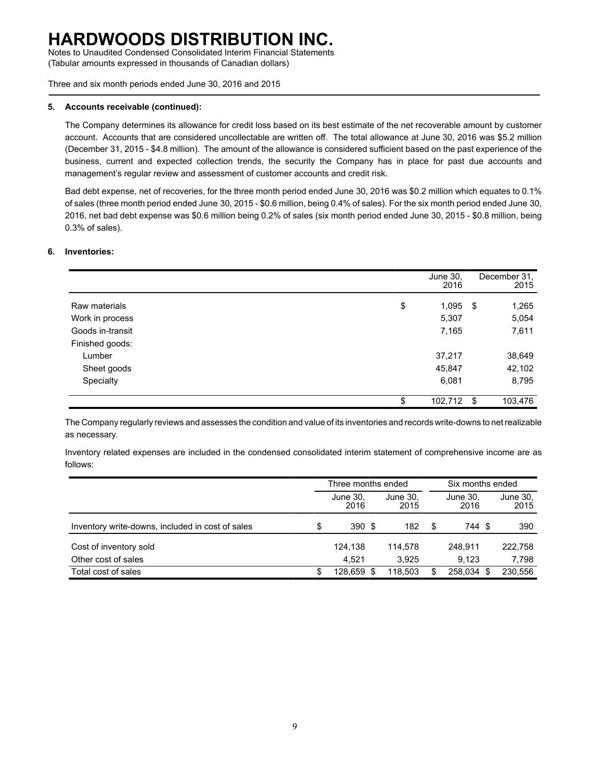Notes to Unaudited Condensed Consolidated Interim Financial Statements (Tabular amounts expressed in thousands of Canadian dollars)

Three and six month periods ended June 30, 2016 and 2015

#### **5. Accounts receivable (continued):**

The Company determines its allowance for credit loss based on its best estimate of the net recoverable amount by customer account. Accounts that are considered uncollectable are written off. The total allowance at June 30, 2016 was \$5.2 million (December 31, 2015 - \$4.8 million). The amount of the allowance is considered sufficient based on the past experience of the business, current and expected collection trends, the security the Company has in place for past due accounts and management's regular review and assessment of customer accounts and credit risk.

Bad debt expense, net of recoveries, for the three month period ended June 30, 2016 was \$0.2 million which equates to 0.1% of sales (three month period ended June 30, 2015 - \$0.6 million, being 0.4% of sales). For the six month period ended June 30, 2016, net bad debt expense was \$0.6 million being 0.2% of sales (six month period ended June 30, 2015 - \$0.8 million, being 0.3% of sales).

### **6. Inventories:**

|                  | June 30,<br>2016 |     | December 31,<br>2015 |
|------------------|------------------|-----|----------------------|
| Raw materials    | \$<br>1,095      | -\$ | 1,265                |
| Work in process  | 5,307            |     | 5,054                |
| Goods in-transit | 7,165            |     | 7,611                |
| Finished goods:  |                  |     |                      |
| Lumber           | 37,217           |     | 38,649               |
| Sheet goods      | 45,847           |     | 42,102               |
| Specialty        | 6,081            |     | 8,795                |
|                  | \$<br>102,712    | \$  | 103,476              |

The Company regularly reviews and assesses the condition and value of its inventories and records write-downs to net realizable as necessary.

Inventory related expenses are included in the condensed consolidated interim statement of comprehensive income are as follows:

|                                                  |    | Three months ended |  |                  |    | Six months ended |                  |  |
|--------------------------------------------------|----|--------------------|--|------------------|----|------------------|------------------|--|
|                                                  |    | June 30,<br>2016   |  | June 30,<br>2015 |    | June 30,<br>2016 | June 30,<br>2015 |  |
| Inventory write-downs, included in cost of sales | \$ | 390 \$             |  | 182              | \$ | 744 S            | 390              |  |
| Cost of inventory sold                           |    | 124.138            |  | 114.578          |    | 248.911          | 222,758          |  |
| Other cost of sales                              |    | 4.521              |  | 3.925            |    | 9.123            | 7,798            |  |
| Total cost of sales                              | S  | 128.659 \$         |  | 118,503          | \$ | 258.034 \$       | 230,556          |  |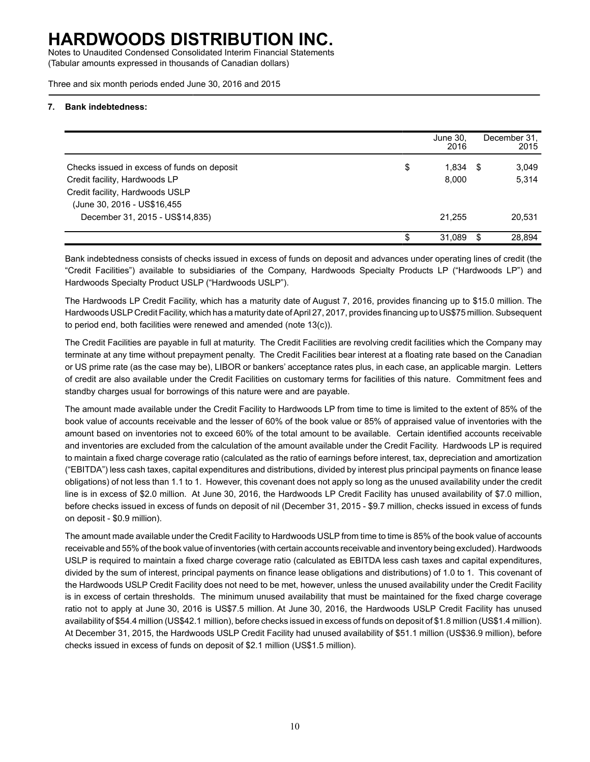Notes to Unaudited Condensed Consolidated Interim Financial Statements (Tabular amounts expressed in thousands of Canadian dollars)

Three and six month periods ended June 30, 2016 and 2015

#### **7. Bank indebtedness:**

|                                             |    | June 30, |      | December 31. |
|---------------------------------------------|----|----------|------|--------------|
|                                             |    | 2016     |      | 2015         |
| Checks issued in excess of funds on deposit | \$ | 1.834    | - 35 | 3,049        |
| Credit facility, Hardwoods LP               |    | 8.000    |      | 5,314        |
| Credit facility, Hardwoods USLP             |    |          |      |              |
| (June 30, 2016 - US\$16,455)                |    |          |      |              |
| December 31, 2015 - US\$14,835)             |    | 21.255   |      | 20,531       |
|                                             | S  | 31.089   |      | 28.894       |

Bank indebtedness consists of checks issued in excess of funds on deposit and advances under operating lines of credit (the "Credit Facilities") available to subsidiaries of the Company, Hardwoods Specialty Products LP ("Hardwoods LP") and Hardwoods Specialty Product USLP ("Hardwoods USLP").

The Hardwoods LP Credit Facility, which has a maturity date of August 7, 2016, provides financing up to \$15.0 million. The Hardwoods USLP Credit Facility, which has a maturity date of April 27, 2017, provides financing up to US\$75 million. Subsequent to period end, both facilities were renewed and amended (note 13(c)).

The Credit Facilities are payable in full at maturity. The Credit Facilities are revolving credit facilities which the Company may terminate at any time without prepayment penalty. The Credit Facilities bear interest at a floating rate based on the Canadian or US prime rate (as the case may be), LIBOR or bankers' acceptance rates plus, in each case, an applicable margin. Letters of credit are also available under the Credit Facilities on customary terms for facilities of this nature. Commitment fees and standby charges usual for borrowings of this nature were and are payable.

The amount made available under the Credit Facility to Hardwoods LP from time to time is limited to the extent of 85% of the book value of accounts receivable and the lesser of 60% of the book value or 85% of appraised value of inventories with the amount based on inventories not to exceed 60% of the total amount to be available. Certain identified accounts receivable and inventories are excluded from the calculation of the amount available under the Credit Facility. Hardwoods LP is required to maintain a fixed charge coverage ratio (calculated as the ratio of earnings before interest, tax, depreciation and amortization ("EBITDA") less cash taxes, capital expenditures and distributions, divided by interest plus principal payments on finance lease obligations) of not less than 1.1 to 1. However, this covenant does not apply so long as the unused availability under the credit line is in excess of \$2.0 million. At June 30, 2016, the Hardwoods LP Credit Facility has unused availability of \$7.0 million, before checks issued in excess of funds on deposit of nil (December 31, 2015 - \$9.7 million, checks issued in excess of funds on deposit - \$0.9 million).

The amount made available under the Credit Facility to Hardwoods USLP from time to time is 85% of the book value of accounts receivable and 55% of the book value of inventories (with certain accounts receivable and inventory being excluded). Hardwoods USLP is required to maintain a fixed charge coverage ratio (calculated as EBITDA less cash taxes and capital expenditures, divided by the sum of interest, principal payments on finance lease obligations and distributions) of 1.0 to 1. This covenant of the Hardwoods USLP Credit Facility does not need to be met, however, unless the unused availability under the Credit Facility is in excess of certain thresholds. The minimum unused availability that must be maintained for the fixed charge coverage ratio not to apply at June 30, 2016 is US\$7.5 million. At June 30, 2016, the Hardwoods USLP Credit Facility has unused availability of \$54.4 million (US\$42.1 million), before checks issued in excess of funds on deposit of \$1.8 million (US\$1.4 million). At December 31, 2015, the Hardwoods USLP Credit Facility had unused availability of \$51.1 million (US\$36.9 million), before checks issued in excess of funds on deposit of \$2.1 million (US\$1.5 million).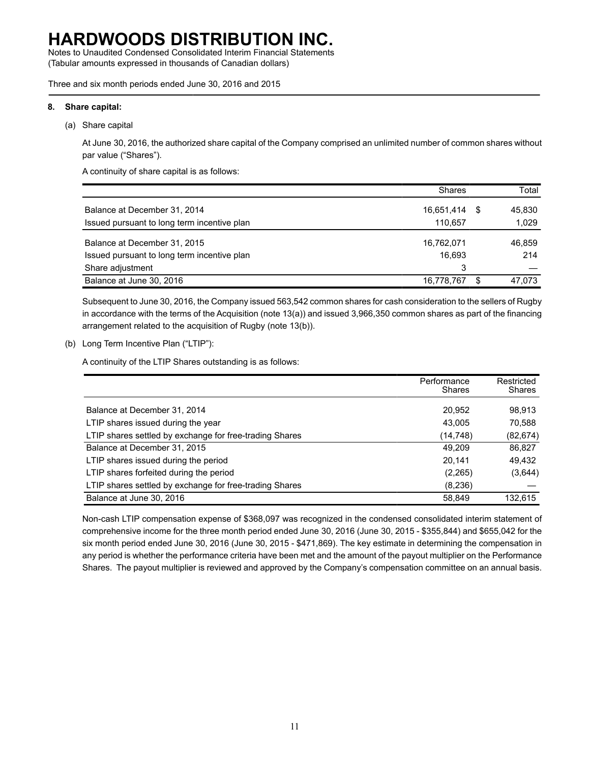Notes to Unaudited Condensed Consolidated Interim Financial Statements (Tabular amounts expressed in thousands of Canadian dollars)

Three and six month periods ended June 30, 2016 and 2015

#### **8. Share capital:**

(a) Share capital

At June 30, 2016, the authorized share capital of the Company comprised an unlimited number of common shares without par value ("Shares").

A continuity of share capital is as follows:

|                                                                             | <b>Shares</b>         |     | Total           |
|-----------------------------------------------------------------------------|-----------------------|-----|-----------------|
| Balance at December 31, 2014<br>Issued pursuant to long term incentive plan | 16,651,414<br>110.657 | - 5 | 45.830<br>1,029 |
| Balance at December 31, 2015                                                | 16,762,071            |     | 46.859          |
| Issued pursuant to long term incentive plan                                 | 16.693                |     | 214             |
| Share adjustment                                                            | 3                     |     |                 |
| Balance at June 30, 2016                                                    | 16,778,767            | S   | 47.073          |

Subsequent to June 30, 2016, the Company issued 563,542 common shares for cash consideration to the sellers of Rugby in accordance with the terms of the Acquisition (note 13(a)) and issued 3,966,350 common shares as part of the financing arrangement related to the acquisition of Rugby (note 13(b)).

(b) Long Term Incentive Plan ("LTIP"):

A continuity of the LTIP Shares outstanding is as follows:

|                                                         | Performance<br><b>Shares</b> | Restricted<br><b>Shares</b> |
|---------------------------------------------------------|------------------------------|-----------------------------|
| Balance at December 31, 2014                            | 20,952                       | 98,913                      |
| LTIP shares issued during the year                      | 43.005                       | 70,588                      |
| LTIP shares settled by exchange for free-trading Shares | (14,748)                     | (82, 674)                   |
| Balance at December 31, 2015                            | 49.209                       | 86,827                      |
| LTIP shares issued during the period                    | 20.141                       | 49,432                      |
| LTIP shares forfeited during the period                 | (2,265)                      | (3,644)                     |
| LTIP shares settled by exchange for free-trading Shares | (8, 236)                     |                             |
| Balance at June 30, 2016                                | 58.849                       | 132.615                     |

Non-cash LTIP compensation expense of \$368,097 was recognized in the condensed consolidated interim statement of comprehensive income for the three month period ended June 30, 2016 (June 30, 2015 - \$355,844) and \$655,042 for the six month period ended June 30, 2016 (June 30, 2015 - \$471,869). The key estimate in determining the compensation in any period is whether the performance criteria have been met and the amount of the payout multiplier on the Performance Shares. The payout multiplier is reviewed and approved by the Company's compensation committee on an annual basis.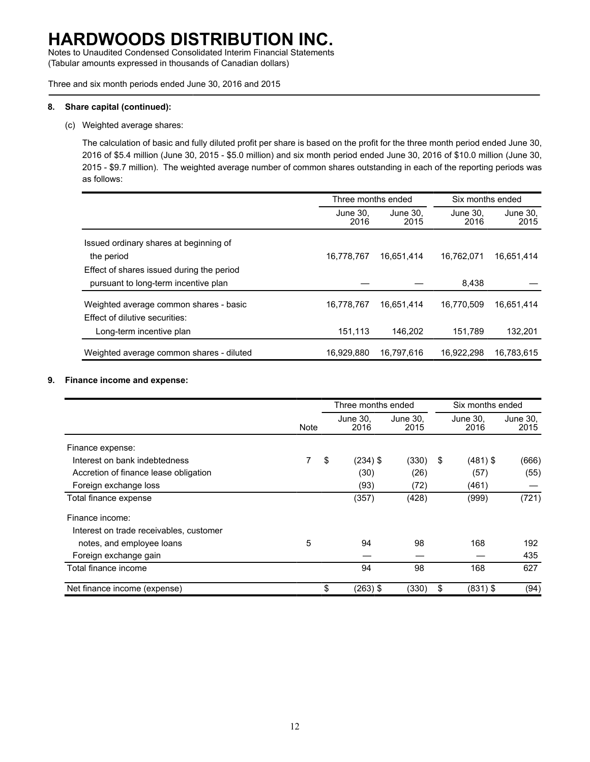Notes to Unaudited Condensed Consolidated Interim Financial Statements (Tabular amounts expressed in thousands of Canadian dollars)

Three and six month periods ended June 30, 2016 and 2015

#### **8. Share capital (continued):**

### (c) Weighted average shares:

The calculation of basic and fully diluted profit per share is based on the profit for the three month period ended June 30, 2016 of \$5.4 million (June 30, 2015 - \$5.0 million) and six month period ended June 30, 2016 of \$10.0 million (June 30, 2015 - \$9.7 million). The weighted average number of common shares outstanding in each of the reporting periods was as follows:

|                                           | Three months ended                   |            | Six months ended |                  |  |  |
|-------------------------------------------|--------------------------------------|------------|------------------|------------------|--|--|
|                                           | June 30.<br>June 30.<br>2016<br>2015 |            | June 30.<br>2016 | June 30,<br>2015 |  |  |
| Issued ordinary shares at beginning of    |                                      |            |                  |                  |  |  |
| the period                                | 16.778.767                           | 16.651.414 | 16.762.071       | 16.651.414       |  |  |
| Effect of shares issued during the period |                                      |            |                  |                  |  |  |
| pursuant to long-term incentive plan      |                                      |            | 8,438            |                  |  |  |
| Weighted average common shares - basic    | 16,778,767                           | 16,651,414 | 16.770.509       | 16,651,414       |  |  |
| Effect of dilutive securities:            |                                      |            |                  |                  |  |  |
| Long-term incentive plan                  | 151,113                              | 146.202    | 151,789          | 132,201          |  |  |
| Weighted average common shares - diluted  | 16,929,880                           | 16,797,616 | 16,922,298       | 16,783,615       |  |  |

### **9. Finance income and expense:**

|                                         |      | Three months ended |                  |                  | Six months ended |                  |  |
|-----------------------------------------|------|--------------------|------------------|------------------|------------------|------------------|--|
|                                         | Note |                    | June 30.<br>2016 | June 30,<br>2015 | June 30.<br>2016 | June 30,<br>2015 |  |
| Finance expense:                        |      |                    |                  |                  |                  |                  |  |
| Interest on bank indebtedness           |      | \$                 | $(234)$ \$       | (330)            | \$<br>$(481)$ \$ | (666)            |  |
| Accretion of finance lease obligation   |      |                    | (30)             | (26)             | (57)             | (55)             |  |
| Foreign exchange loss                   |      |                    | (93)             | (72)             | (461)            |                  |  |
| Total finance expense                   |      |                    | (357)            | (428)            | (999)            | (721)            |  |
| Finance income:                         |      |                    |                  |                  |                  |                  |  |
| Interest on trade receivables, customer |      |                    |                  |                  |                  |                  |  |
| notes, and employee loans               | 5    |                    | 94               | 98               | 168              | 192              |  |
| Foreign exchange gain                   |      |                    |                  |                  |                  | 435              |  |
| Total finance income                    |      |                    | 94               | 98               | 168              | 627              |  |
| Net finance income (expense)            |      | S                  | $(263)$ \$       | (330)            | \$<br>$(831)$ \$ | (94)             |  |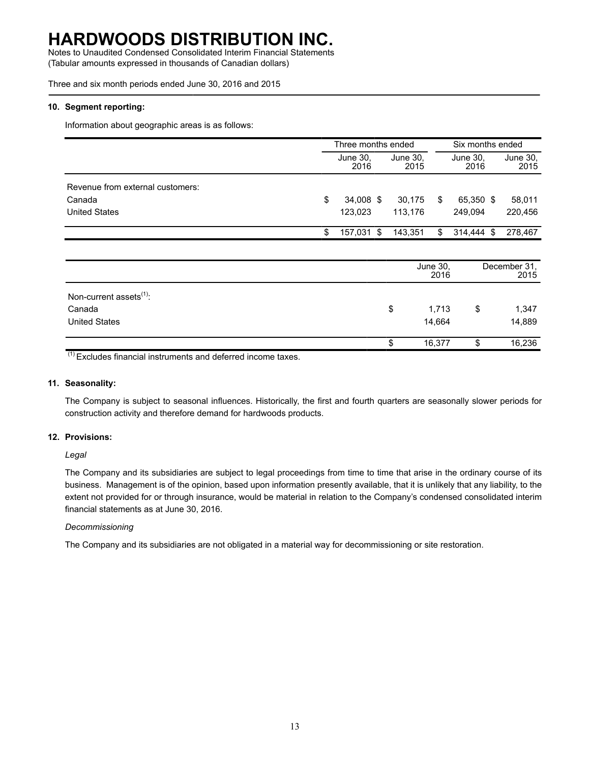Notes to Unaudited Condensed Consolidated Interim Financial Statements (Tabular amounts expressed in thousands of Canadian dollars)

Three and six month periods ended June 30, 2016 and 2015

### **10. Segment reporting:**

Information about geographic areas is as follows:

|                                  | Three months ended |                  |     | Six months ended |     |                  |  |                  |
|----------------------------------|--------------------|------------------|-----|------------------|-----|------------------|--|------------------|
|                                  |                    | June 30,<br>2016 |     | June 30,<br>2015 |     | June 30,<br>2016 |  | June 30,<br>2015 |
| Revenue from external customers: |                    |                  |     |                  |     |                  |  |                  |
| Canada                           | S                  | 34.008 \$        |     | 30.175           | S   | 65,350 \$        |  | 58,011           |
| <b>United States</b>             |                    | 123.023          |     | 113.176          |     | 249.094          |  | 220.456          |
|                                  | S                  | 157.031          | -\$ | 143.351          | \$. | 314,444 \$       |  | 278.467          |

|                                     | June 30,<br>2016 |    | December 31,<br>2015 |
|-------------------------------------|------------------|----|----------------------|
| Non-current assets <sup>(1)</sup> : |                  |    |                      |
| Canada                              | \$<br>1,713      | \$ | 1,347                |
| <b>United States</b>                | 14,664           |    | 14,889               |
|                                     | 16,377           | S  | 16,236               |

 $(1)$  Excludes financial instruments and deferred income taxes.

### **11. Seasonality:**

The Company is subject to seasonal influences. Historically, the first and fourth quarters are seasonally slower periods for construction activity and therefore demand for hardwoods products.

### **12. Provisions:**

*Legal*

The Company and its subsidiaries are subject to legal proceedings from time to time that arise in the ordinary course of its business. Management is of the opinion, based upon information presently available, that it is unlikely that any liability, to the extent not provided for or through insurance, would be material in relation to the Company's condensed consolidated interim financial statements as at June 30, 2016.

### *Decommissioning*

The Company and its subsidiaries are not obligated in a material way for decommissioning or site restoration.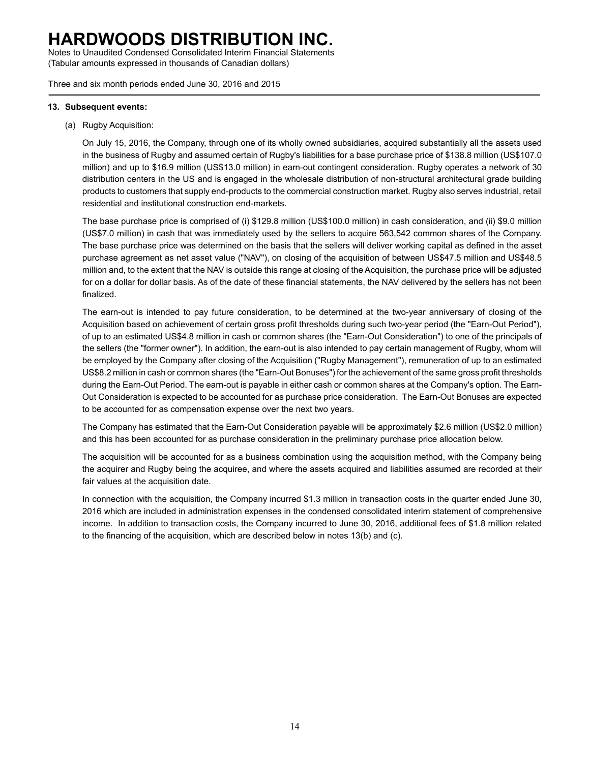Notes to Unaudited Condensed Consolidated Interim Financial Statements (Tabular amounts expressed in thousands of Canadian dollars)

Three and six month periods ended June 30, 2016 and 2015

#### **13. Subsequent events:**

(a) Rugby Acquisition:

On July 15, 2016, the Company, through one of its wholly owned subsidiaries, acquired substantially all the assets used in the business of Rugby and assumed certain of Rugby's liabilities for a base purchase price of \$138.8 million (US\$107.0 million) and up to \$16.9 million (US\$13.0 million) in earn-out contingent consideration. Rugby operates a network of 30 distribution centers in the US and is engaged in the wholesale distribution of non-structural architectural grade building products to customers that supply end-products to the commercial construction market. Rugby also serves industrial, retail residential and institutional construction end-markets.

The base purchase price is comprised of (i) \$129.8 million (US\$100.0 million) in cash consideration, and (ii) \$9.0 million (US\$7.0 million) in cash that was immediately used by the sellers to acquire 563,542 common shares of the Company. The base purchase price was determined on the basis that the sellers will deliver working capital as defined in the asset purchase agreement as net asset value ("NAV"), on closing of the acquisition of between US\$47.5 million and US\$48.5 million and, to the extent that the NAV is outside this range at closing of the Acquisition, the purchase price will be adjusted for on a dollar for dollar basis. As of the date of these financial statements, the NAV delivered by the sellers has not been finalized.

The earn-out is intended to pay future consideration, to be determined at the two-year anniversary of closing of the Acquisition based on achievement of certain gross profit thresholds during such two-year period (the "Earn-Out Period"), of up to an estimated US\$4.8 million in cash or common shares (the "Earn-Out Consideration") to one of the principals of the sellers (the "former owner"). In addition, the earn-out is also intended to pay certain management of Rugby, whom will be employed by the Company after closing of the Acquisition ("Rugby Management"), remuneration of up to an estimated US\$8.2 million in cash or common shares (the "Earn-Out Bonuses") for the achievement of the same gross profit thresholds during the Earn-Out Period. The earn-out is payable in either cash or common shares at the Company's option. The Earn-Out Consideration is expected to be accounted for as purchase price consideration. The Earn-Out Bonuses are expected to be accounted for as compensation expense over the next two years.

The Company has estimated that the Earn-Out Consideration payable will be approximately \$2.6 million (US\$2.0 million) and this has been accounted for as purchase consideration in the preliminary purchase price allocation below.

The acquisition will be accounted for as a business combination using the acquisition method, with the Company being the acquirer and Rugby being the acquiree, and where the assets acquired and liabilities assumed are recorded at their fair values at the acquisition date.

In connection with the acquisition, the Company incurred \$1.3 million in transaction costs in the quarter ended June 30, 2016 which are included in administration expenses in the condensed consolidated interim statement of comprehensive income. In addition to transaction costs, the Company incurred to June 30, 2016, additional fees of \$1.8 million related to the financing of the acquisition, which are described below in notes 13(b) and (c).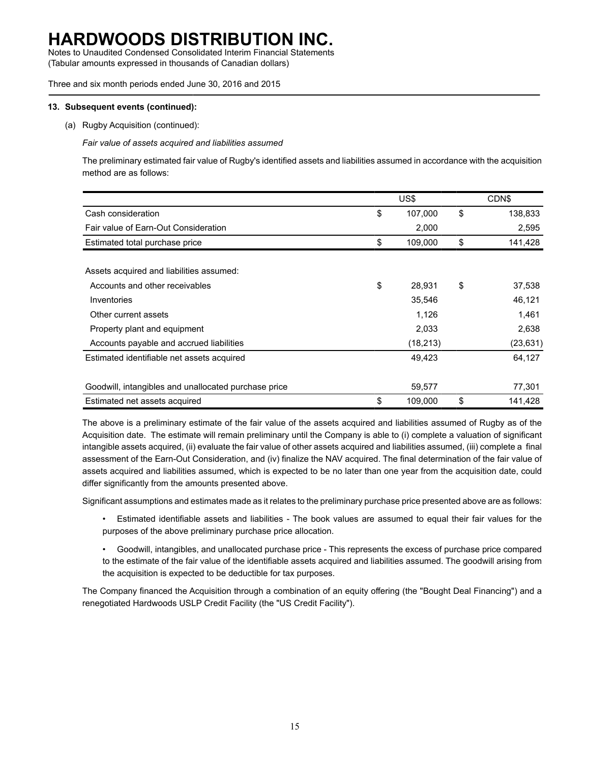Notes to Unaudited Condensed Consolidated Interim Financial Statements (Tabular amounts expressed in thousands of Canadian dollars)

Three and six month periods ended June 30, 2016 and 2015

#### **13. Subsequent events (continued):**

(a) Rugby Acquisition (continued):

*Fair value of assets acquired and liabilities assumed*

The preliminary estimated fair value of Rugby's identified assets and liabilities assumed in accordance with the acquisition method are as follows:

|                                                      | US\$          |    | CDN\$     |
|------------------------------------------------------|---------------|----|-----------|
| Cash consideration                                   | \$<br>107,000 | \$ | 138,833   |
| Fair value of Earn-Out Consideration                 | 2,000         |    | 2,595     |
| Estimated total purchase price                       | \$<br>109,000 | \$ | 141,428   |
|                                                      |               |    |           |
| Assets acquired and liabilities assumed:             |               |    |           |
| Accounts and other receivables                       | \$<br>28,931  | \$ | 37,538    |
| Inventories                                          | 35,546        |    | 46,121    |
| Other current assets                                 | 1,126         |    | 1,461     |
| Property plant and equipment                         | 2,033         |    | 2,638     |
| Accounts payable and accrued liabilities             | (18, 213)     |    | (23, 631) |
| Estimated identifiable net assets acquired           | 49,423        |    | 64,127    |
|                                                      |               |    |           |
| Goodwill, intangibles and unallocated purchase price | 59,577        |    | 77,301    |
| Estimated net assets acquired                        | \$<br>109,000 | \$ | 141,428   |

The above is a preliminary estimate of the fair value of the assets acquired and liabilities assumed of Rugby as of the Acquisition date. The estimate will remain preliminary until the Company is able to (i) complete a valuation of significant intangible assets acquired, (ii) evaluate the fair value of other assets acquired and liabilities assumed, (iii) complete a final assessment of the Earn-Out Consideration, and (iv) finalize the NAV acquired. The final determination of the fair value of assets acquired and liabilities assumed, which is expected to be no later than one year from the acquisition date, could differ significantly from the amounts presented above.

Significant assumptions and estimates made as it relates to the preliminary purchase price presented above are as follows:

• Estimated identifiable assets and liabilities - The book values are assumed to equal their fair values for the purposes of the above preliminary purchase price allocation.

• Goodwill, intangibles, and unallocated purchase price - This represents the excess of purchase price compared to the estimate of the fair value of the identifiable assets acquired and liabilities assumed. The goodwill arising from the acquisition is expected to be deductible for tax purposes.

The Company financed the Acquisition through a combination of an equity offering (the "Bought Deal Financing") and a renegotiated Hardwoods USLP Credit Facility (the "US Credit Facility").